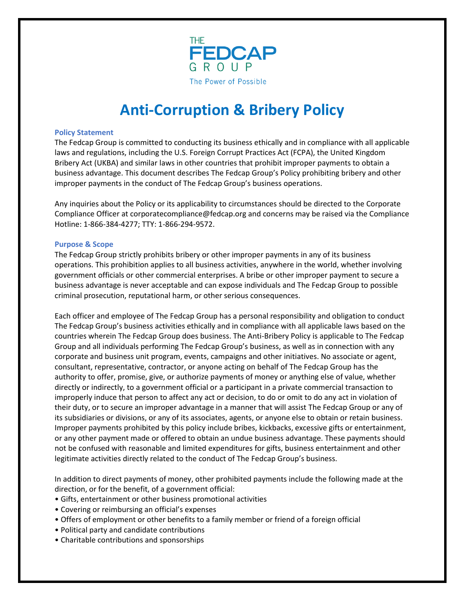

# **Anti-Corruption & Bribery Policy**

### **Policy Statement**

The Fedcap Group is committed to conducting its business ethically and in compliance with all applicable laws and regulations, including the U.S. Foreign Corrupt Practices Act (FCPA), the United Kingdom Bribery Act (UKBA) and similar laws in other countries that prohibit improper payments to obtain a business advantage. This document describes The Fedcap Group's Policy prohibiting bribery and other improper payments in the conduct of The Fedcap Group's business operations.

Any inquiries about the Policy or its applicability to circumstances should be directed to the Corporate Compliance Officer at corporatecompliance@fedcap.org and concerns may be raised via the Compliance Hotline: 1-866-384-4277; TTY: 1-866-294-9572.

## **Purpose & Scope**

The Fedcap Group strictly prohibits bribery or other improper payments in any of its business operations. This prohibition applies to all business activities, anywhere in the world, whether involving government officials or other commercial enterprises. A bribe or other improper payment to secure a business advantage is never acceptable and can expose individuals and The Fedcap Group to possible criminal prosecution, reputational harm, or other serious consequences.

Each officer and employee of The Fedcap Group has a personal responsibility and obligation to conduct The Fedcap Group's business activities ethically and in compliance with all applicable laws based on the countries wherein The Fedcap Group does business. The Anti-Bribery Policy is applicable to The Fedcap Group and all individuals performing The Fedcap Group's business, as well as in connection with any corporate and business unit program, events, campaigns and other initiatives. No associate or agent, consultant, representative, contractor, or anyone acting on behalf of The Fedcap Group has the authority to offer, promise, give, or authorize payments of money or anything else of value, whether directly or indirectly, to a government official or a participant in a private commercial transaction to improperly induce that person to affect any act or decision, to do or omit to do any act in violation of their duty, or to secure an improper advantage in a manner that will assist The Fedcap Group or any of its subsidiaries or divisions, or any of its associates, agents, or anyone else to obtain or retain business. Improper payments prohibited by this policy include bribes, kickbacks, excessive gifts or entertainment, or any other payment made or offered to obtain an undue business advantage. These payments should not be confused with reasonable and limited expenditures for gifts, business entertainment and other legitimate activities directly related to the conduct of The Fedcap Group's business.

In addition to direct payments of money, other prohibited payments include the following made at the direction, or for the benefit, of a government official:

- Gifts, entertainment or other business promotional activities
- Covering or reimbursing an official's expenses
- Offers of employment or other benefits to a family member or friend of a foreign official
- Political party and candidate contributions
- Charitable contributions and sponsorships